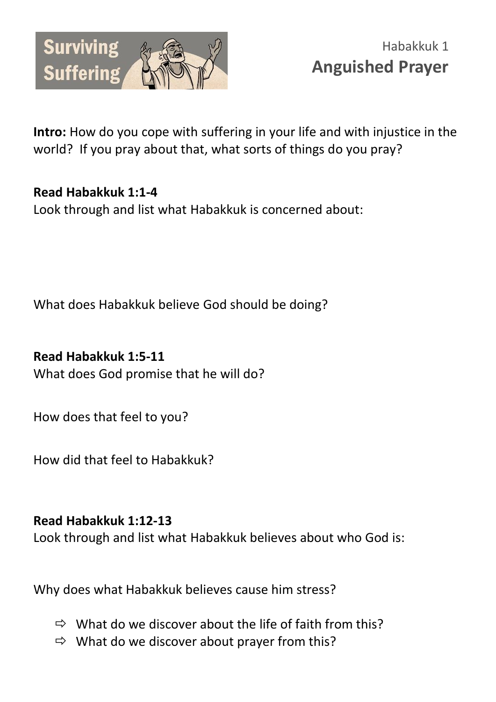

**Intro:** How do you cope with suffering in your life and with injustice in the world? If you pray about that, what sorts of things do you pray?

## **Read Habakkuk 1:1-4**

Look through and list what Habakkuk is concerned about:

What does Habakkuk believe God should be doing?

## **Read Habakkuk 1:5-11**

What does God promise that he will do?

How does that feel to you?

How did that feel to Habakkuk?

## **Read Habakkuk 1:12-13**

Look through and list what Habakkuk believes about who God is:

Why does what Habakkuk believes cause him stress?

- $\Rightarrow$  What do we discover about the life of faith from this?
- $\Rightarrow$  What do we discover about prayer from this?